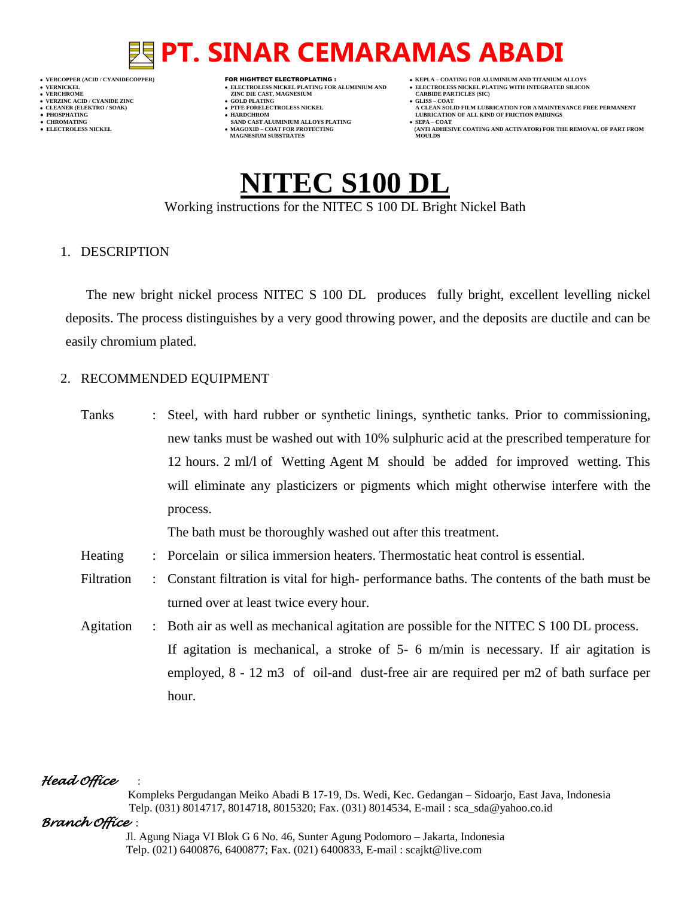- **VERT ASSESSED ASSESSED ASSESSED ASSESSED ASSESSED ASSESSED ASSESSED ASSESSED ASSESSED ASSESSED ASSESSED ASSESSED ASSESSED ASSESSED ASSESSED ASSESSED ASSESSED ASSESSED ASSESSED ASSESSED ASSESSED ASSESSED ASSESSED ASSESSED VERZINC ACID / CYANIDE ZINC GOLD PLATING GLISS – COAT**
	-
- **● CHROMATING SAND CAST ALUMINIUM ALLOYS PLATING SEPA – COAT**
- **VERCOPPER (ACID / CYANIDECOPPER)** FOR HIGHTECT ELECTROPLATING :  **KEPLA – COATING FOR ALUMINIUM AND TITANIUM ALLOYS**
- **VERNICKEL ELECTROLESS NICKEL PLATING FOR ALUMINIUM AND ELECTROLESS NICKEL PLATING WITH INTEGRATED SILICON**
	-
- **CLEANER (ELEKTRO / SOAK) PTFE FORELECTROLESS NICKEL A CLEAN SOLID FILM LUBRICATION FOR A MAINTENANCE FREE PERMANENT ● PHOSPHATING HARDCHROM LUBRICATION OF ALL KIND OF FRICTION PAIRINGS**
- **● ELECTROLESS NICKEL MAGOXID – COAT FOR PROTECTING (ANTI ADHESIVE COATING AND ACTIVATOR) FOR THE REMOVAL OF PART FROM MAGNESIUM SUBSTRATES MOULDS**

**NITEC S100 DL** Working instructions for the NITEC S 100 DL Bright Nickel Bath

1. DESCRIPTION

The new bright nickel process NITEC S 100 DL produces fully bright, excellent levelling nickel deposits. The process distinguishes by a very good throwing power, and the deposits are ductile and can be easily chromium plated.

#### 2. RECOMMENDED EQUIPMENT

Tanks : Steel, with hard rubber or synthetic linings, synthetic tanks. Prior to commissioning, new tanks must be washed out with 10% sulphuric acid at the prescribed temperature for 12 hours. 2 ml/l of Wetting Agent M should be added for improved wetting. This will eliminate any plasticizers or pigments which might otherwise interfere with the process. The bath must be thoroughly washed out after this treatment. Heating : Porcelain or silica immersion heaters. Thermostatic heat control is essential. Filtration : Constant filtration is vital for high- performance baths. The contents of the bath must be turned over at least twice every hour. Agitation : Both air as well as mechanical agitation are possible for the NITEC S 100 DL process. If agitation is mechanical, a stroke of 5- 6 m/min is necessary. If air agitation is employed, 8 - 12 m3 of oil-and dust-free air are required per m2 of bath surface per hour.

#### *Head Office* :

 Kompleks Pergudangan Meiko Abadi B 17-19, Ds. Wedi, Kec. Gedangan – Sidoarjo, East Java, Indonesia Telp. (031) 8014717, 8014718, 8015320; Fax. (031) 8014534, E-mail : sca\_sda@yahoo.co.id

#### *Branch Office* :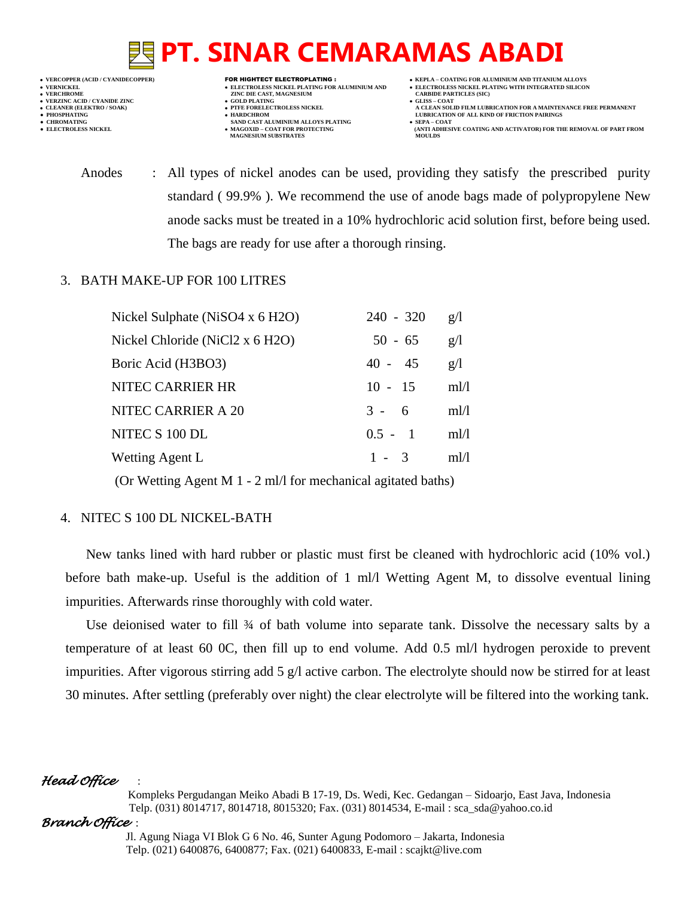- 
- 
- 

- **VERNICKEL ELECTROLESS NICKEL PLATING FOR ALUMINIUM AND ELECTROLESS NICKEL PLATING WITH INTEGRATED SILICON VERFORM ZINC DIE CAST, MAGNESIUM CARBIDE PARTICLES (SIC)**<br> **CARBIDE PARTING**
- **VERZINC ACID / CYANIDE ZINC GOLD PLATING GLISS – COAT**
	-
- **● CHROMATING SAND CAST ALUMINIUM ALLOYS PLATING SEPA – COAT MAGNESIUM SUBSTRATES**
- **VERCOPPER (ACID / CYANIDECOPPER)** FOR HIGHTECT ELECTROPLATING :  **KEPLA – COATING FOR ALUMINIUM AND TITANIUM ALLOYS**
	-
- **CLEANER (ELEKTRO / SOAK) PTFE FORELECTROLESS NICKEL A CLEAN SOLID FILM LUBRICATION FOR A MAINTENANCE FREE PERMANENT ● PHOSPHATING HARDCHROM LUBRICATION OF ALL KIND OF FRICTION PAIRINGS** 
	- **ELECTROLESS AND ACTIVATOR) FOR THE REMOVAL OF PART FROM (ANTI ADHESIVE COATING AND ACTIVATOR) FOR THE REMOVAL OF PART FROM**
	- Anodes : All types of nickel anodes can be used, providing they satisfy the prescribed purity standard ( 99.9% ). We recommend the use of anode bags made of polypropylene New anode sacks must be treated in a 10% hydrochloric acid solution first, before being used. The bags are ready for use after a thorough rinsing.

#### 3. BATH MAKE-UP FOR 100 LITRES

| Nickel Sulphate (NiSO4 x 6 H2O) | $240 - 320$ | g/l  |
|---------------------------------|-------------|------|
| Nickel Chloride (NiCl2 x 6 H2O) | $50 - 65$   | g/l  |
| Boric Acid (H3BO3)              | $40 - 45$   | g/l  |
| NITEC CARRIER HR                | $10 - 15$   | m!/l |
| NITEC CARRIER A 20              | $3 - 6$     | m!/l |
| NITEC S 100 DL                  | $0.5 - 1$   | ml/l |
| Wetting Agent L                 | $1 - 3$     | m1/1 |
|                                 |             |      |

(Or Wetting Agent M 1 - 2 ml/l for mechanical agitated baths)

### 4. NITEC S 100 DL NICKEL-BATH

New tanks lined with hard rubber or plastic must first be cleaned with hydrochloric acid (10% vol.) before bath make-up. Useful is the addition of 1 ml/l Wetting Agent M, to dissolve eventual lining impurities. Afterwards rinse thoroughly with cold water.

Use deionised water to fill  $\frac{3}{4}$  of bath volume into separate tank. Dissolve the necessary salts by a temperature of at least 60 0C, then fill up to end volume. Add 0.5 ml/l hydrogen peroxide to prevent impurities. After vigorous stirring add 5 g/l active carbon. The electrolyte should now be stirred for at least 30 minutes. After settling (preferably over night) the clear electrolyte will be filtered into the working tank.

### *Head Office* :

 Kompleks Pergudangan Meiko Abadi B 17-19, Ds. Wedi, Kec. Gedangan – Sidoarjo, East Java, Indonesia Telp. (031) 8014717, 8014718, 8015320; Fax. (031) 8014534, E-mail : sca\_sda@yahoo.co.id

### *Branch Office* :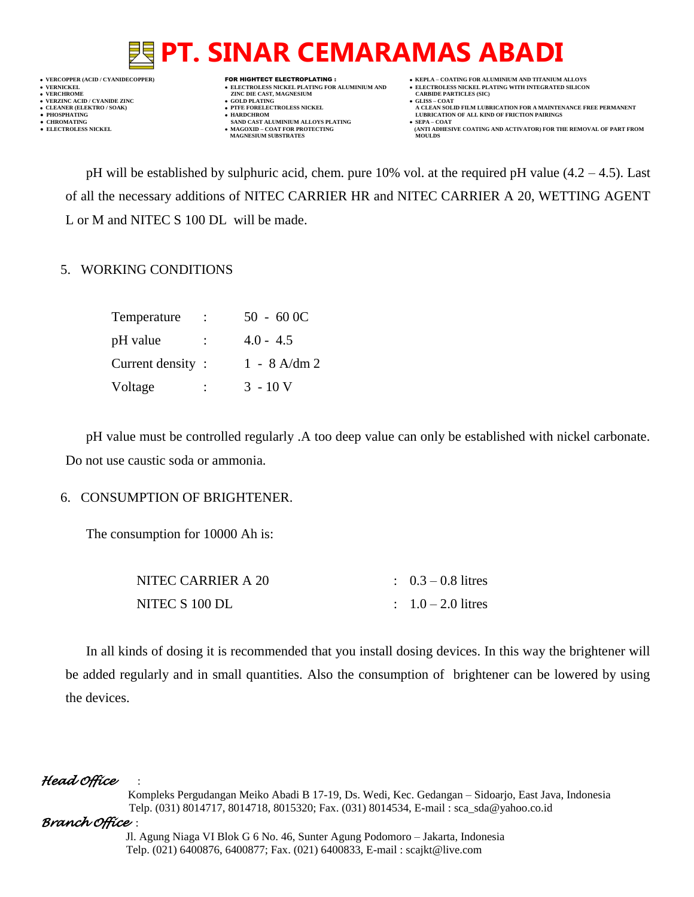

- **VERT ASSESSED ASSESSED ASSESSED ASSESSED ASSESSED ASSESSED ASSESSED ASSESSED ASSESSED ASSESSED ASSESSED ASSESSED ASSESSED ASSESSED ASSESSED ASSESSED ASSESSED ASSESSED ASSESSED ASSESSED ASSESSED ASSESSED ASSESSED ASSESSED**
- 
- 
- **•** CHROMATING **CHROMATING • CHROMATING • CHROMATING • CHROMATING • CHROMATING • MAGOXID COAT** FOR PROTECTING **MAGNESIUM SUBSTRATES**
- **VERCOPPER (ACID / CYANIDECOPPER)** FOR HIGHTECT ELECTROPLATING :  **KEPLA – COATING FOR ALUMINIUM AND TITANIUM ALLOYS**
	-
- **CLEANER (ELEKTRO / SOAK) PTFE FORELECTROLESS NICKEL A CLEAN SOLID FILM LUBRICATION FOR A MAINTENANCE FREE PERMANENT ● PHOSPHATING HARDCHROM LUBRICATION OF ALL KIND OF FRICTION PAIRINGS** 
	- **ELECTROLESS AND ACTIVATOR) FOR THE REMOVAL OF PART FROM (ANTI ADHESIVE COATING AND ACTIVATOR) FOR THE REMOVAL OF PART FROM**

pH will be established by sulphuric acid, chem. pure 10% vol. at the required pH value (4.2 – 4.5). Last of all the necessary additions of NITEC CARRIER HR and NITEC CARRIER A 20, WETTING AGENT L or M and NITEC S 100 DL will be made.

#### 5. WORKING CONDITIONS

| Temperature      |                      | $50 - 600C$    |
|------------------|----------------------|----------------|
| pH value         | $\ddot{\phantom{0}}$ | $4.0 - 4.5$    |
| Current density: |                      | $1 - 8$ A/dm 2 |
| Voltage          | $\ddot{\cdot}$       | $3 - 10V$      |

pH value must be controlled regularly .A too deep value can only be established with nickel carbonate. Do not use caustic soda or ammonia.

#### 6. CONSUMPTION OF BRIGHTENER.

The consumption for 10000 Ah is:

| NITEC CARRIER A 20 | $\therefore$ 0.3 – 0.8 litres |
|--------------------|-------------------------------|
| NITEC S 100 DL     | $1.0 - 2.0$ litres            |

In all kinds of dosing it is recommended that you install dosing devices. In this way the brightener will be added regularly and in small quantities. Also the consumption of brightener can be lowered by using the devices.

### *Head Office* :

 Kompleks Pergudangan Meiko Abadi B 17-19, Ds. Wedi, Kec. Gedangan – Sidoarjo, East Java, Indonesia Telp. (031) 8014717, 8014718, 8015320; Fax. (031) 8014534, E-mail : sca\_sda@yahoo.co.id

#### *Branch Office* :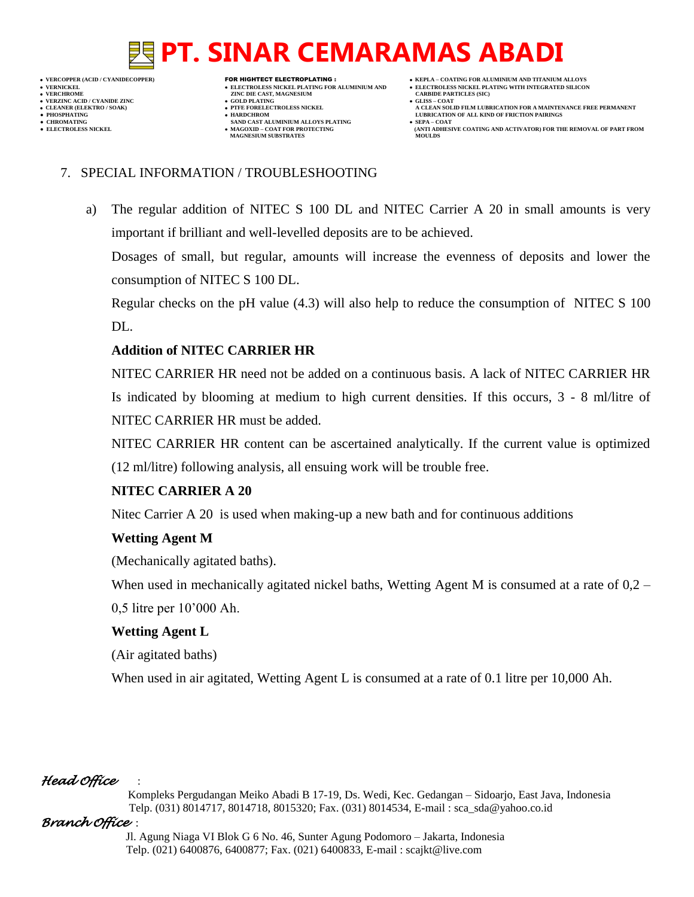**VERNICKEL ELECTROLESS NICKEL PLATING FOR ALUMINIUM AND ELECTROLESS NICKEL PLATING WITH INTEGRATED SILICON**

- **VERFORM ZINC DIE CAST, MAGNESIUM CARBIDE PARTICLES (SIC)**<br> **CARBIDE PARTING**
- **VERZINC ACID / CYANIDE ZINC GOLD PLATING GLISS – COAT**
- **● CHROMATING SAND CAST ALUMINIUM ALLOYS PLATING SEPA – COAT**
- **PHOSPHATING HARDCHROM LUBRICATION OF ALL KIND OF FRICTION PAIRINGS** 
	- **MAGOXID COAT FOR PROTECTING<br>MAGNESIUM SUBSTRATES**
- **VERCOPPER (ACID / CYANIDECOPPER)** FOR HIGHTECT ELECTROPLATING :  **KEPLA – COATING FOR ALUMINIUM AND TITANIUM ALLOYS**
	-
- **CLEANER (ELEKTRO / SOAK) PTFE FORELECTROLESS NICKEL A CLEAN SOLID FILM LUBRICATION FOR A MAINTENANCE FREE PERMANENT**
	- **ELECTROLESS AND ACTIVATOR) FOR THE REMOVAL OF PART FROM (ANTI ADHESIVE COATING AND ACTIVATOR) FOR THE REMOVAL OF PART FROM**

### 7. SPECIAL INFORMATION / TROUBLESHOOTING

a) The regular addition of NITEC S 100 DL and NITEC Carrier A 20 in small amounts is very important if brilliant and well-levelled deposits are to be achieved.

Dosages of small, but regular, amounts will increase the evenness of deposits and lower the consumption of NITEC S 100 DL.

Regular checks on the pH value (4.3) will also help to reduce the consumption of NITEC S 100 DL.

### **Addition of NITEC CARRIER HR**

NITEC CARRIER HR need not be added on a continuous basis. A lack of NITEC CARRIER HR Is indicated by blooming at medium to high current densities. If this occurs, 3 - 8 ml/litre of NITEC CARRIER HR must be added.

NITEC CARRIER HR content can be ascertained analytically. If the current value is optimized (12 ml/litre) following analysis, all ensuing work will be trouble free.

### **NITEC CARRIER A 20**

Nitec Carrier A 20 is used when making-up a new bath and for continuous additions

### **Wetting Agent M**

(Mechanically agitated baths).

When used in mechanically agitated nickel baths, Wetting Agent M is consumed at a rate of 0,2 – 0,5 litre per 10'000 Ah.

### **Wetting Agent L**

(Air agitated baths)

When used in air agitated, Wetting Agent L is consumed at a rate of 0.1 litre per 10,000 Ah.

### *Head Office* :

 Kompleks Pergudangan Meiko Abadi B 17-19, Ds. Wedi, Kec. Gedangan – Sidoarjo, East Java, Indonesia Telp. (031) 8014717, 8014718, 8015320; Fax. (031) 8014534, E-mail : sca\_sda@yahoo.co.id

### *Branch Office* :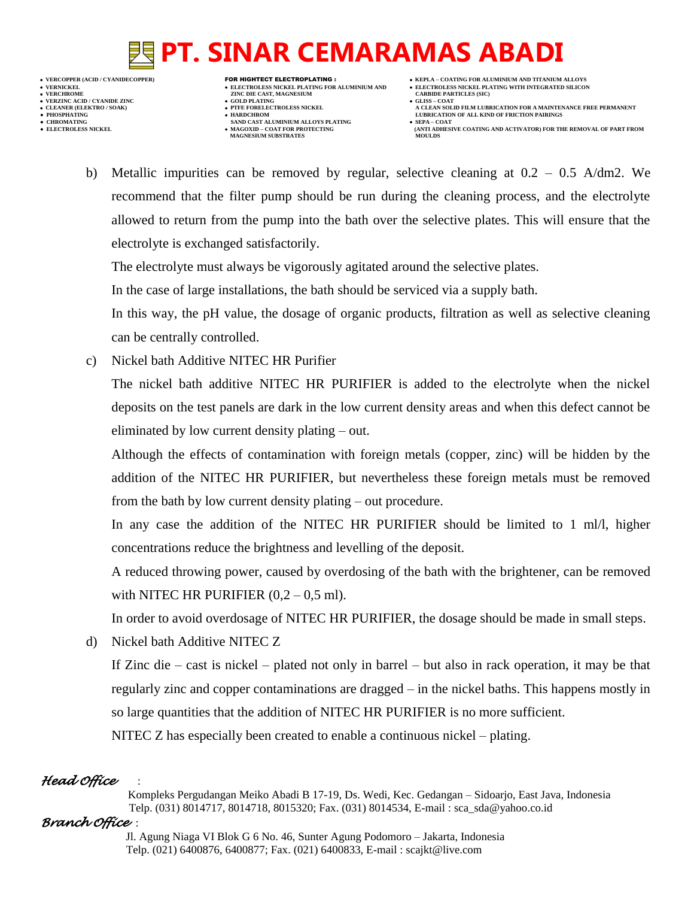

- 
- 

- **VERT AND AGNESIUM CARBIDE PARTICLES (SOLD PLATING ASSESSMENT ASSESSMENT ASSESSMENT ASSESSMENT ASSESSMENT ASSESSMENT ASSESSMENT ASSESSMENT ASSESSMENT ASSESSMENT ASSESSMENT ASSESSMENT ASSESSMENT ASSESSMENT ASSESSMENT ASSESS**
- 
- 
- **● CHROMATING SAND CAST ALUMINIUM ALLOYS PLATING SEPA – COAT • MAGOXID – COAT FOR PROTECTING<br>MAGNESIUM SUBSTRATES**
- **VERCOPPER (ACID / CYANIDECOPPER)** FOR HIGHTECT ELECTROPLATING :  **KEPLA – COATING FOR ALUMINIUM AND TITANIUM ALLOYS**
	-
- **CLEANER (ELEKTRO / SOAK) PTFE FORELECTROLESS NICKEL A CLEAN SOLID FILM LUBRICATION FOR A MAINTENANCE FREE PERMANENT ● PHOSPHATING HARDCHROM LUBRICATION OF ALL KIND OF FRICTION PAIRINGS** 
	- **ELECTROLESS AND ACTIVATOR) FOR THE REMOVAL OF PART FROM (ANTI ADHESIVE COATING AND ACTIVATOR) FOR THE REMOVAL OF PART FROM**
	- b) Metallic impurities can be removed by regular, selective cleaning at 0.2 0.5 A/dm2. We recommend that the filter pump should be run during the cleaning process, and the electrolyte allowed to return from the pump into the bath over the selective plates. This will ensure that the electrolyte is exchanged satisfactorily.

The electrolyte must always be vigorously agitated around the selective plates.

In the case of large installations, the bath should be serviced via a supply bath.

In this way, the pH value, the dosage of organic products, filtration as well as selective cleaning can be centrally controlled.

c) Nickel bath Additive NITEC HR Purifier

The nickel bath additive NITEC HR PURIFIER is added to the electrolyte when the nickel deposits on the test panels are dark in the low current density areas and when this defect cannot be eliminated by low current density plating – out.

Although the effects of contamination with foreign metals (copper, zinc) will be hidden by the addition of the NITEC HR PURIFIER, but nevertheless these foreign metals must be removed from the bath by low current density plating – out procedure.

In any case the addition of the NITEC HR PURIFIER should be limited to 1 ml/l, higher concentrations reduce the brightness and levelling of the deposit.

A reduced throwing power, caused by overdosing of the bath with the brightener, can be removed with NITEC HR PURIFIER  $(0,2 - 0.5 \text{ ml})$ .

In order to avoid overdosage of NITEC HR PURIFIER, the dosage should be made in small steps.

d) Nickel bath Additive NITEC Z

If Zinc die – cast is nickel – plated not only in barrel – but also in rack operation, it may be that regularly zinc and copper contaminations are dragged – in the nickel baths. This happens mostly in so large quantities that the addition of NITEC HR PURIFIER is no more sufficient. NITEC Z has especially been created to enable a continuous nickel – plating.

### *Head Office* :

 Kompleks Pergudangan Meiko Abadi B 17-19, Ds. Wedi, Kec. Gedangan – Sidoarjo, East Java, Indonesia Telp. (031) 8014717, 8014718, 8015320; Fax. (031) 8014534, E-mail : sca\_sda@yahoo.co.id

#### *Branch Office* :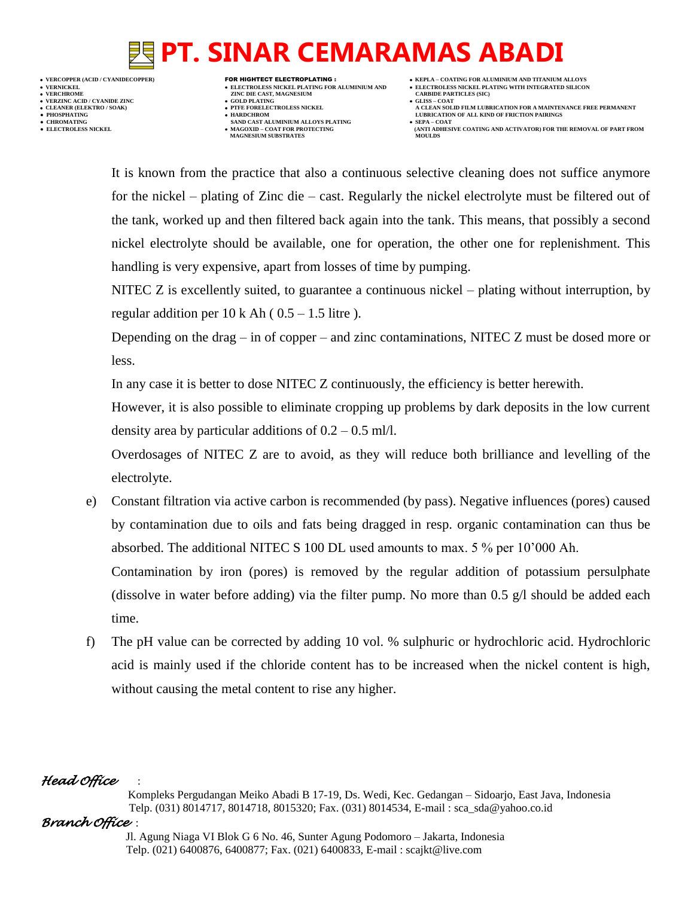**VERCOPPER (ACID / CYANIDECOPPER)** FOR HIGHTECT ELECTROPLATING :  **KEPLA – COATING FOR ALUMINIUM AND TITANIUM ALLOYS VERNICKEL ELECTROLESS NICKEL PLATING FOR ALUMINIUM AND ELECTROLESS NICKEL PLATING WITH INTEGRATED SILICON VERZINC ACID / CYANIDE ZINC GOLD PLATING GLISS – COAT ● PHOSPHATING HARDCHROM LUBRICATION OF ALL KIND OF FRICTION PAIRINGS** 

- **VERFORM ZINC DIE CAST, MAGNESIUM CARBIDE PARTICLES (SIC)**<br> **CARBIDE PARTING**
- 
- 
- **● CHROMATING SAND CAST ALUMINIUM ALLOYS PLATING SEPA – COAT • MAGOXID – COAT FOR PROTECTING<br>MAGNESIUM SUBSTRATES**
- -
- **CLEANER (ELEKTRO / SOAK) PTFE FORELECTROLESS NICKEL A CLEAN SOLID FILM LUBRICATION FOR A MAINTENANCE FREE PERMANENT**
	- **ELECTROLESS AND ACTIVATOR) FOR THE REMOVAL OF PART FROM (ANTI ADHESIVE COATING AND ACTIVATOR) FOR THE REMOVAL OF PART FROM**

It is known from the practice that also a continuous selective cleaning does not suffice anymore for the nickel – plating of Zinc die – cast. Regularly the nickel electrolyte must be filtered out of the tank, worked up and then filtered back again into the tank. This means, that possibly a second nickel electrolyte should be available, one for operation, the other one for replenishment. This handling is very expensive, apart from losses of time by pumping.

NITEC Z is excellently suited, to guarantee a continuous nickel – plating without interruption, by regular addition per  $10 \text{ k}$  Ah (  $0.5 - 1.5$  litre ).

Depending on the drag – in of copper – and zinc contaminations, NITEC Z must be dosed more or less.

In any case it is better to dose NITEC Z continuously, the efficiency is better herewith.

However, it is also possible to eliminate cropping up problems by dark deposits in the low current density area by particular additions of  $0.2 - 0.5$  ml/l.

Overdosages of NITEC Z are to avoid, as they will reduce both brilliance and levelling of the electrolyte.

e) Constant filtration via active carbon is recommended (by pass). Negative influences (pores) caused by contamination due to oils and fats being dragged in resp. organic contamination can thus be absorbed. The additional NITEC S 100 DL used amounts to max. 5 % per 10'000 Ah.

Contamination by iron (pores) is removed by the regular addition of potassium persulphate (dissolve in water before adding) via the filter pump. No more than  $0.5$  g/l should be added each time.

f) The pH value can be corrected by adding 10 vol. % sulphuric or hydrochloric acid. Hydrochloric acid is mainly used if the chloride content has to be increased when the nickel content is high, without causing the metal content to rise any higher.

#### *Head Office* :

 Kompleks Pergudangan Meiko Abadi B 17-19, Ds. Wedi, Kec. Gedangan – Sidoarjo, East Java, Indonesia Telp. (031) 8014717, 8014718, 8015320; Fax. (031) 8014534, E-mail : sca\_sda@yahoo.co.id

#### *Branch Office* :